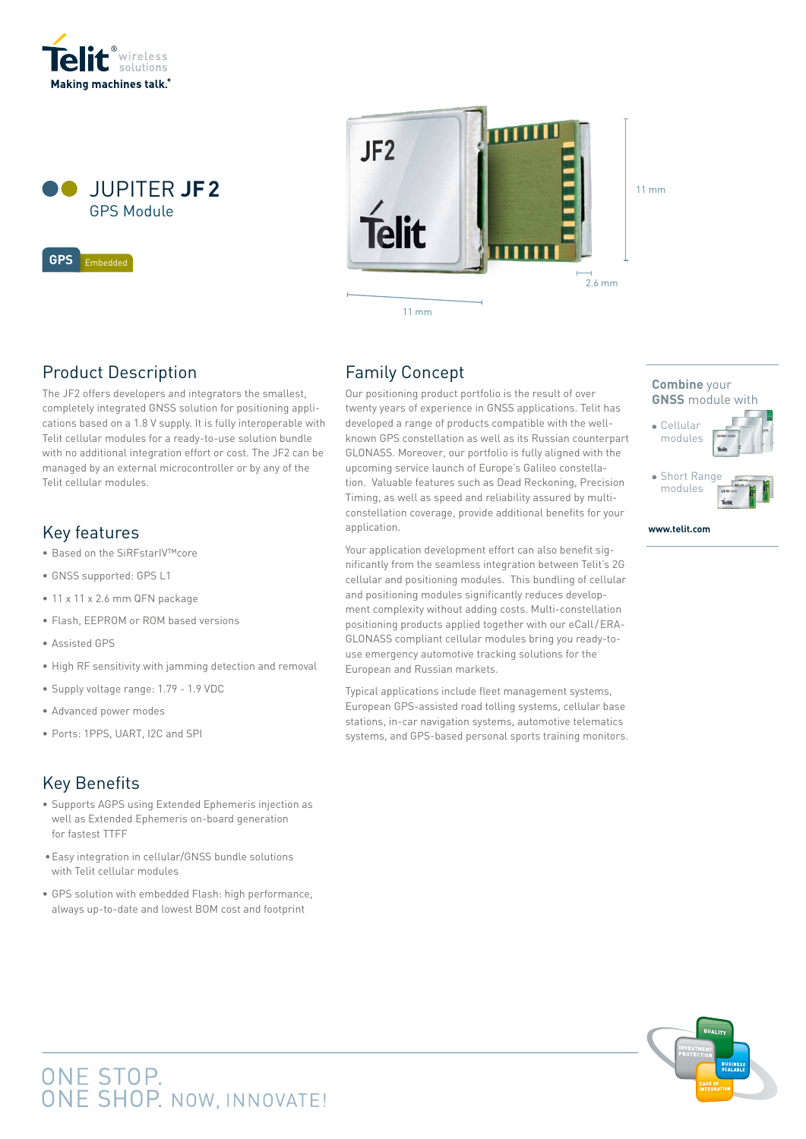



Embedded **GPS GPS** Embedded



Product Description

The JF2 offers developers and integrators the smallest, completely integrated GNSS solution for positioning applications based on a 1.8 V supply. It is fully interoperable with Telit cellular modules for a ready-to-use solution bundle with no additional integration effort or cost. The JF2 can be managed by an external microcontroller or by any of the Telit cellular modules.

### Key features

- Based on the SiRFstarIV™core
- GNSS supported: GPS L1
- 11 x 11 x 2.6 mm QFN package
- Flash, EEPROM or ROM based versions
- Assisted GPS
- High RF sensitivity with jamming detection and removal
- Supply voltage range: 1.79 1.9 VDC
- Advanced power modes
- Ports: 1PPS, UART, I2C and SPI

## Key Benefits

- Supports AGPS using Extended Ephemeris injection as well as Extended Ephemeris on-board generation for fastest TTFF
- Easy integration in cellular/GNSS bundle solutions with Telit cellular modules
- GPS solution with embedded Flash: high performance, always up-to-date and lowest BOM cost and footprint

ONE STOP.<br>ONE SHOP. NOW, INNOVATE!

### Family Concept

Our positioning product portfolio is the result of over twenty years of experience in GNSS applications. Telit has developed a range of products compatible with the wellknown GPS constellation as well as its Russian counterpart GLONASS. Moreover, our portfolio is fully aligned with the upcoming service launch of Europe's Galileo constellation. Valuable features such as Dead Reckoning, Precision Timing, as well as speed and reliability assured by multiconstellation coverage, provide additional benefits for your application.

Your application development effort can also benefit significantly from the seamless integration between Telit's 2G cellular and positioning modules. This bundling of cellular and positioning modules significantly reduces development complexity without adding costs. Multi-constellation positioning products applied together with our eCall/ERA-GLONASS compliant cellular modules bring you ready-touse emergency automotive tracking solutions for the European and Russian markets.

Typical applications include fleet management systems, European GPS-assisted road tolling systems, cellular base stations, in-car navigation systems, automotive telematics systems, and GPS-based personal sports training monitors.

## **Combine** your **GNSS** module with Cellular modules • Short Range modules

**www.telit.com**